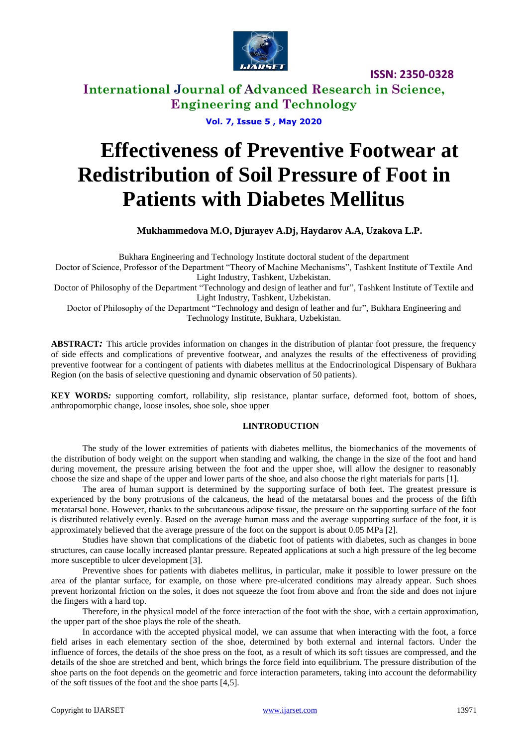

**ISSN: 2350-0328**

### **International Journal of Advanced Research in Science, Engineering and Technology**

**Vol. 7, Issue 5 , May 2020**

# **Effectiveness of Preventive Footwear at Redistribution of Soil Pressure of Foot in Patients with Diabetes Mellitus**

**Mukhammedova M.O, Djurayev A.Dj, Haydarov A.A, Uzakova L.P.**

Bukhara Engineering and Technology Institute doctoral student of the department Doctor of Science, Professor of the Department "Theory of Machine Mechanisms", Tashkent Institute of Textile And Light Industry, Tashkent, Uzbekistan. Doctor of Philosophy of the Department "Technology and design of leather and fur", Tashkent Institute of Textile and Light Industry, Tashkent, Uzbekistan. Doctor of Philosophy of the Department "Technology and design of leather and fur", Bukhara Engineering and Technology Institute, Bukhara, Uzbekistan.

**ABSTRACT***:* This article provides information on changes in the distribution of plantar foot pressure, the frequency of side effects and complications of preventive footwear, and analyzes the results of the effectiveness of providing preventive footwear for a contingent of patients with diabetes mellitus at the Endocrinological Dispensary of Bukhara Region (on the basis of selective questioning and dynamic observation of 50 patients).

**KEY WORDS***:* supporting comfort, rollability, slip resistance, plantar surface, deformed foot, bottom of shoes, anthropomorphic change, loose insoles, shoe sole, shoe upper

#### **I.INTRODUCTION**

The study of the lower extremities of patients with diabetes mellitus, the biomechanics of the movements of the distribution of body weight on the support when standing and walking, the change in the size of the foot and hand during movement, the pressure arising between the foot and the upper shoe, will allow the designer to reasonably choose the size and shape of the upper and lower parts of the shoe, and also choose the right materials for parts [1].

The area of human support is determined by the supporting surface of both feet. The greatest pressure is experienced by the bony protrusions of the calcaneus, the head of the metatarsal bones and the process of the fifth metatarsal bone. However, thanks to the subcutaneous adipose tissue, the pressure on the supporting surface of the foot is distributed relatively evenly. Based on the average human mass and the average supporting surface of the foot, it is approximately believed that the average pressure of the foot on the support is about 0.05 MPa [2].

Studies have shown that complications of the diabetic foot of patients with diabetes, such as changes in bone structures, can cause locally increased plantar pressure. Repeated applications at such a high pressure of the leg become more susceptible to ulcer development [3].

Preventive shoes for patients with diabetes mellitus, in particular, make it possible to lower pressure on the area of the plantar surface, for example, on those where pre-ulcerated conditions may already appear. Such shoes prevent horizontal friction on the soles, it does not squeeze the foot from above and from the side and does not injure the fingers with a hard top.

Therefore, in the physical model of the force interaction of the foot with the shoe, with a certain approximation, the upper part of the shoe plays the role of the sheath.

In accordance with the accepted physical model, we can assume that when interacting with the foot, a force field arises in each elementary section of the shoe, determined by both external and internal factors. Under the influence of forces, the details of the shoe press on the foot, as a result of which its soft tissues are compressed, and the details of the shoe are stretched and bent, which brings the force field into equilibrium. The pressure distribution of the shoe parts on the foot depends on the geometric and force interaction parameters, taking into account the deformability of the soft tissues of the foot and the shoe parts [4,5].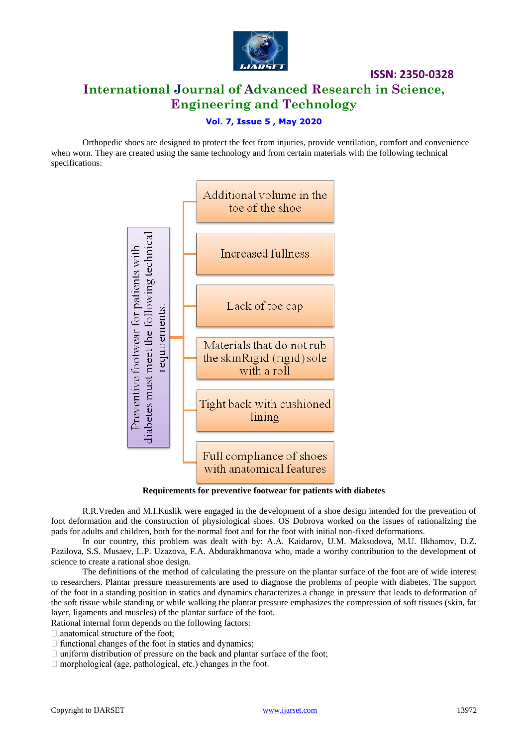

**International Journal of Advanced Research in Science, Engineering and Technology**

**ISSN: 2350-0328**

#### **Vol. 7, Issue 5 , May 2020**

Orthopedic shoes are designed to protect the feet from injuries, provide ventilation, comfort and convenience when worn. They are created using the same technology and from certain materials with the following technical specifications:



**Requirements for preventive footwear for patients with diabetes**

R.R.Vreden and M.I.Kuslik were engaged in the development of a shoe design intended for the prevention of foot deformation and the construction of physiological shoes. OS Dobrova worked on the issues of rationalizing the pads for adults and children, both for the normal foot and for the foot with initial non-fixed deformations.

In our country, this problem was dealt with by: A.A. Kaidarov, U.M. Maksudova, M.U. Ilkhamov, D.Z. Pazilova, S.S. Musaev, L.P. Uzazova, F.A. Abdurakhmanova who, made a worthy contribution to the development of science to create a rational shoe design.

The definitions of the method of calculating the pressure on the plantar surface of the foot are of wide interest to researchers. Plantar pressure measurements are used to diagnose the problems of people with diabetes. The support of the foot in a standing position in statics and dynamics characterizes a change in pressure that leads to deformation of the soft tissue while standing or while walking the plantar pressure emphasizes the compression of soft tissues (skin, fat layer, ligaments and muscles) of the plantar surface of the foot.

Rational internal form depends on the following factors:

 $\Box$  anatomical structure of the foot;

 $\Box$  functional changes of the foot in statics and dynamics;

 $\Box$  uniform distribution of pressure on the back and plantar surface of the foot;

 $\Box$  morphological (age, pathological, etc.) changes in the foot.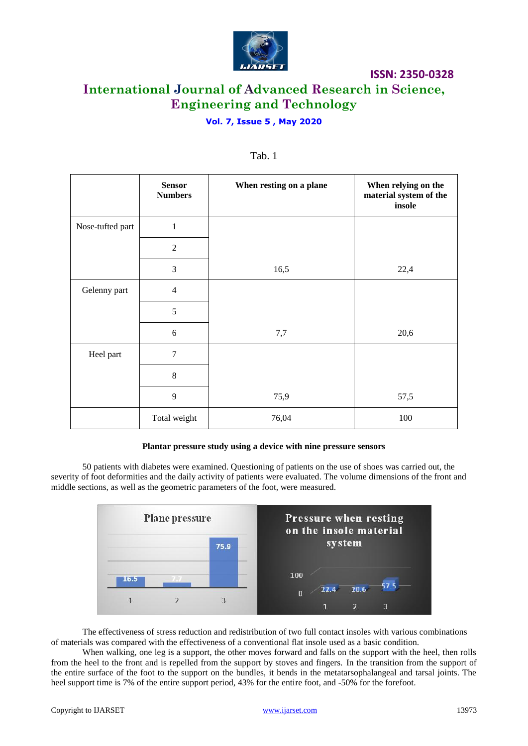

# **International Journal of Advanced Research in Science, Engineering and Technology**

**ISSN: 2350-0328**

#### **Vol. 7, Issue 5 , May 2020**

|                  | <b>Sensor</b><br><b>Numbers</b> | When resting on a plane | When relying on the<br>material system of the<br>insole |
|------------------|---------------------------------|-------------------------|---------------------------------------------------------|
| Nose-tufted part | $\mathbf{1}$                    |                         |                                                         |
|                  | $\overline{2}$                  |                         |                                                         |
|                  | 3                               | 16,5                    | 22,4                                                    |
| Gelenny part     | $\overline{4}$                  |                         |                                                         |
|                  | 5                               |                         |                                                         |
|                  | 6                               | 7,7                     | 20,6                                                    |
| Heel part        | $\overline{7}$                  |                         |                                                         |
|                  | 8                               |                         |                                                         |
|                  | 9                               | 75,9                    | 57,5                                                    |
|                  | Total weight                    | 76,04                   | 100                                                     |

#### Tab. 1

#### **Plantar pressure study using a device with nine pressure sensors**

50 patients with diabetes were examined. Questioning of patients on the use of shoes was carried out, the severity of foot deformities and the daily activity of patients were evaluated. The volume dimensions of the front and middle sections, as well as the geometric parameters of the foot, were measured.



The effectiveness of stress reduction and redistribution of two full contact insoles with various combinations of materials was compared with the effectiveness of a conventional flat insole used as a basic condition.

When walking, one leg is a support, the other moves forward and falls on the support with the heel, then rolls from the heel to the front and is repelled from the support by stoves and fingers. In the transition from the support of the entire surface of the foot to the support on the bundles, it bends in the metatarsophalangeal and tarsal joints. The heel support time is 7% of the entire support period, 43% for the entire foot, and -50% for the forefoot.